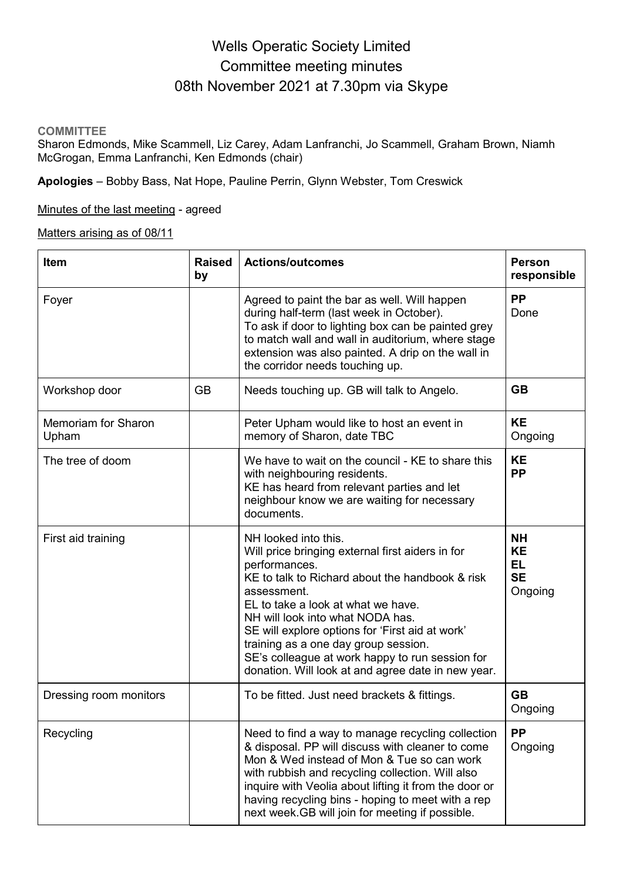# Wells Operatic Society Limited Committee meeting minutes 08th November 2021 at 7.30pm via Skype

#### **COMMITTEE**

Sharon Edmonds, Mike Scammell, Liz Carey, Adam Lanfranchi, Jo Scammell, Graham Brown, Niamh McGrogan, Emma Lanfranchi, Ken Edmonds (chair)

**Apologies** – Bobby Bass, Nat Hope, Pauline Perrin, Glynn Webster, Tom Creswick

Minutes of the last meeting - agreed

Matters arising as of 08/11

| <b>Item</b>                  | <b>Raised</b><br>by | <b>Actions/outcomes</b>                                                                                                                                                                                                                                                                                                                                                                                                                   | <b>Person</b><br>responsible                                |
|------------------------------|---------------------|-------------------------------------------------------------------------------------------------------------------------------------------------------------------------------------------------------------------------------------------------------------------------------------------------------------------------------------------------------------------------------------------------------------------------------------------|-------------------------------------------------------------|
| Foyer                        |                     | Agreed to paint the bar as well. Will happen<br>during half-term (last week in October).<br>To ask if door to lighting box can be painted grey<br>to match wall and wall in auditorium, where stage<br>extension was also painted. A drip on the wall in<br>the corridor needs touching up.                                                                                                                                               | <b>PP</b><br>Done                                           |
| Workshop door                | <b>GB</b>           | Needs touching up. GB will talk to Angelo.                                                                                                                                                                                                                                                                                                                                                                                                | <b>GB</b>                                                   |
| Memoriam for Sharon<br>Upham |                     | Peter Upham would like to host an event in<br>memory of Sharon, date TBC                                                                                                                                                                                                                                                                                                                                                                  | <b>KE</b><br>Ongoing                                        |
| The tree of doom             |                     | We have to wait on the council - KE to share this<br>with neighbouring residents.<br>KE has heard from relevant parties and let<br>neighbour know we are waiting for necessary<br>documents.                                                                                                                                                                                                                                              | <b>KE</b><br><b>PP</b>                                      |
| First aid training           |                     | NH looked into this.<br>Will price bringing external first aiders in for<br>performances.<br>KE to talk to Richard about the handbook & risk<br>assessment.<br>EL to take a look at what we have.<br>NH will look into what NODA has.<br>SE will explore options for 'First aid at work'<br>training as a one day group session.<br>SE's colleague at work happy to run session for<br>donation. Will look at and agree date in new year. | <b>NH</b><br><b>KE</b><br><b>EL</b><br><b>SE</b><br>Ongoing |
| Dressing room monitors       |                     | To be fitted. Just need brackets & fittings.                                                                                                                                                                                                                                                                                                                                                                                              | <b>GB</b><br>Ongoing                                        |
| Recycling                    |                     | Need to find a way to manage recycling collection<br>& disposal. PP will discuss with cleaner to come<br>Mon & Wed instead of Mon & Tue so can work<br>with rubbish and recycling collection. Will also<br>inquire with Veolia about lifting it from the door or<br>having recycling bins - hoping to meet with a rep<br>next week.GB will join for meeting if possible.                                                                  | PP<br>Ongoing                                               |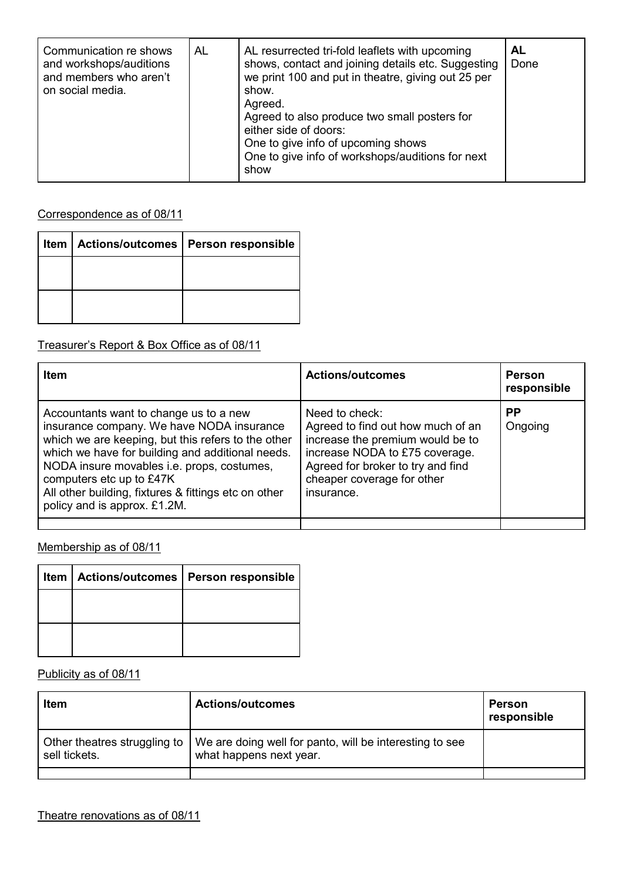| Communication re shows<br>AL<br>and workshops/auditions<br>and members who aren't<br>on social media. | AL resurrected tri-fold leaflets with upcoming<br>shows, contact and joining details etc. Suggesting<br>we print 100 and put in theatre, giving out 25 per<br>show.<br>Agreed.<br>Agreed to also produce two small posters for<br>either side of doors:<br>One to give info of upcoming shows<br>One to give info of workshops/auditions for next<br>show | AL<br>Done |
|-------------------------------------------------------------------------------------------------------|-----------------------------------------------------------------------------------------------------------------------------------------------------------------------------------------------------------------------------------------------------------------------------------------------------------------------------------------------------------|------------|
|-------------------------------------------------------------------------------------------------------|-----------------------------------------------------------------------------------------------------------------------------------------------------------------------------------------------------------------------------------------------------------------------------------------------------------------------------------------------------------|------------|

Correspondence as of 08/11

| Actions/outcomes   Person responsible |
|---------------------------------------|
|                                       |
|                                       |
|                                       |

Treasurer's Report & Box Office as of 08/11

| <b>Item</b>                                                                                                                                                                                                                                                                                                                                                     | <b>Actions/outcomes</b>                                                                                                                                                                                    | <b>Person</b><br>responsible |
|-----------------------------------------------------------------------------------------------------------------------------------------------------------------------------------------------------------------------------------------------------------------------------------------------------------------------------------------------------------------|------------------------------------------------------------------------------------------------------------------------------------------------------------------------------------------------------------|------------------------------|
| Accountants want to change us to a new<br>insurance company. We have NODA insurance<br>which we are keeping, but this refers to the other<br>which we have for building and additional needs.<br>NODA insure movables i.e. props, costumes,<br>computers etc up to £47K<br>All other building, fixtures & fittings etc on other<br>policy and is approx. £1.2M. | Need to check:<br>Agreed to find out how much of an<br>increase the premium would be to<br>increase NODA to £75 coverage.<br>Agreed for broker to try and find<br>cheaper coverage for other<br>insurance. | <b>PP</b><br>Ongoing         |
|                                                                                                                                                                                                                                                                                                                                                                 |                                                                                                                                                                                                            |                              |

Membership as of 08/11

|  | Item   Actions/outcomes   Person responsible |
|--|----------------------------------------------|
|  |                                              |
|  |                                              |
|  |                                              |

Publicity as of 08/11

| Item          | <b>Actions/outcomes</b>                                                                                           | Person<br>responsible |
|---------------|-------------------------------------------------------------------------------------------------------------------|-----------------------|
| sell tickets. | Other theatres struggling to   We are doing well for panto, will be interesting to see<br>what happens next year. |                       |
|               |                                                                                                                   |                       |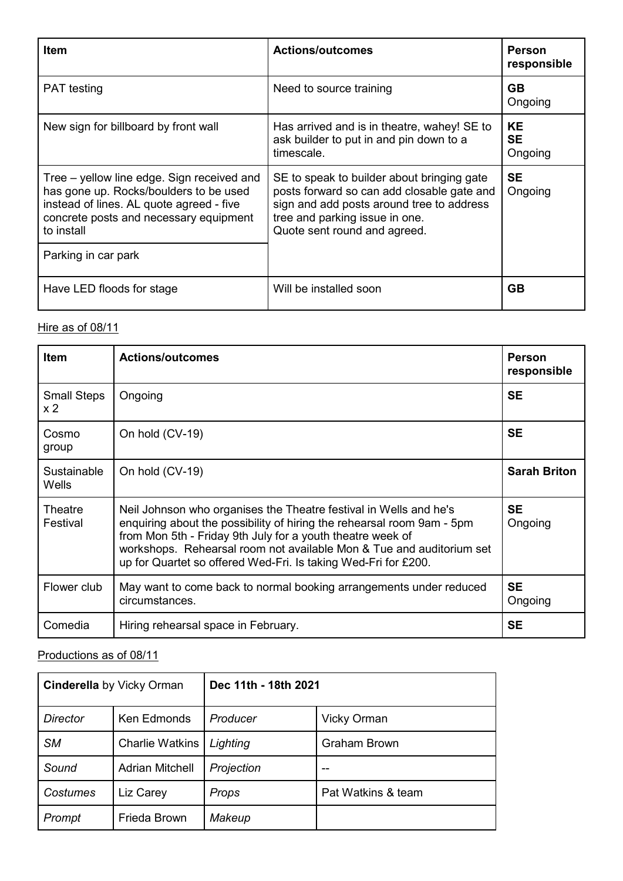| Item                                                                                                                                                                                     | <b>Actions/outcomes</b>                                                                                                                                                                                 | <b>Person</b><br>responsible      |
|------------------------------------------------------------------------------------------------------------------------------------------------------------------------------------------|---------------------------------------------------------------------------------------------------------------------------------------------------------------------------------------------------------|-----------------------------------|
| <b>PAT</b> testing                                                                                                                                                                       | Need to source training                                                                                                                                                                                 | <b>GB</b><br>Ongoing              |
| New sign for billboard by front wall                                                                                                                                                     | Has arrived and is in theatre, wahey! SE to<br>ask builder to put in and pin down to a<br>timescale.                                                                                                    | <b>KE</b><br><b>SE</b><br>Ongoing |
| Tree – yellow line edge. Sign received and<br>has gone up. Rocks/boulders to be used<br>instead of lines. AL quote agreed - five<br>concrete posts and necessary equipment<br>to install | SE to speak to builder about bringing gate<br>posts forward so can add closable gate and<br>sign and add posts around tree to address<br>tree and parking issue in one.<br>Quote sent round and agreed. | <b>SE</b><br>Ongoing              |
| Parking in car park                                                                                                                                                                      |                                                                                                                                                                                                         |                                   |
| Have LED floods for stage                                                                                                                                                                | Will be installed soon                                                                                                                                                                                  | <b>GB</b>                         |

# Hire as of 08/11

| Item                                 | <b>Actions/outcomes</b>                                                                                                                                                                                                                                                                                                                             | <b>Person</b><br>responsible |
|--------------------------------------|-----------------------------------------------------------------------------------------------------------------------------------------------------------------------------------------------------------------------------------------------------------------------------------------------------------------------------------------------------|------------------------------|
| <b>Small Steps</b><br>x <sub>2</sub> | Ongoing                                                                                                                                                                                                                                                                                                                                             | <b>SE</b>                    |
| Cosmo<br>group                       | On hold (CV-19)                                                                                                                                                                                                                                                                                                                                     | <b>SE</b>                    |
| Sustainable<br>Wells                 | On hold (CV-19)                                                                                                                                                                                                                                                                                                                                     | <b>Sarah Briton</b>          |
| Theatre<br>Festival                  | Neil Johnson who organises the Theatre festival in Wells and he's<br>enquiring about the possibility of hiring the rehearsal room 9am - 5pm<br>from Mon 5th - Friday 9th July for a youth theatre week of<br>workshops. Rehearsal room not available Mon & Tue and auditorium set<br>up for Quartet so offered Wed-Fri. Is taking Wed-Fri for £200. | <b>SE</b><br>Ongoing         |
| Flower club                          | May want to come back to normal booking arrangements under reduced<br>circumstances.                                                                                                                                                                                                                                                                | <b>SE</b><br>Ongoing         |
| Comedia                              | Hiring rehearsal space in February.                                                                                                                                                                                                                                                                                                                 | <b>SE</b>                    |

# Productions as of 08/11

| <b>Cinderella</b> by Vicky Orman |                        | Dec 11th - 18th 2021 |                     |
|----------------------------------|------------------------|----------------------|---------------------|
| <b>Director</b>                  | Ken Edmonds            | Producer             | <b>Vicky Orman</b>  |
| <b>SM</b>                        | <b>Charlie Watkins</b> | Lighting             | <b>Graham Brown</b> |
| Sound                            | <b>Adrian Mitchell</b> | Projection           |                     |
| Costumes                         | Liz Carey              | Props                | Pat Watkins & team  |
| Prompt                           | Frieda Brown           | Makeup               |                     |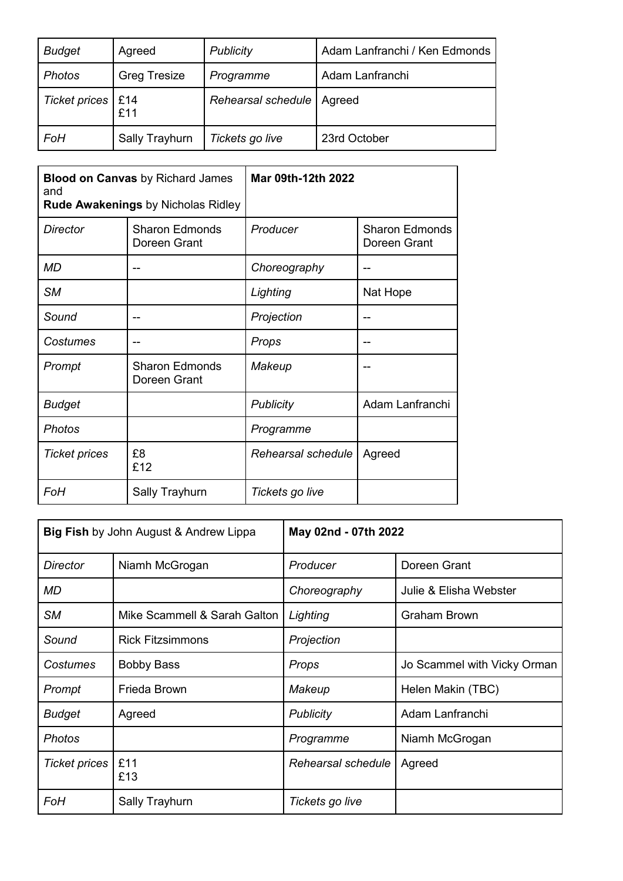| <b>Budget</b>       | Agreed              | <b>Publicity</b>            | Adam Lanfranchi / Ken Edmonds |
|---------------------|---------------------|-----------------------------|-------------------------------|
| <b>Photos</b>       | <b>Greg Tresize</b> | Programme                   | Adam Lanfranchi               |
| Ticket prices   £14 | £11                 | Rehearsal schedule   Agreed |                               |
| FoH                 | Sally Trayhurn      | Tickets go live             | 23rd October                  |

| <b>Blood on Canvas by Richard James</b><br>and<br><b>Rude Awakenings by Nicholas Ridley</b> |                                       | Mar 09th-12th 2022 |                                       |
|---------------------------------------------------------------------------------------------|---------------------------------------|--------------------|---------------------------------------|
| <b>Director</b>                                                                             | <b>Sharon Edmonds</b><br>Doreen Grant | Producer           | <b>Sharon Edmonds</b><br>Doreen Grant |
| MD                                                                                          |                                       | Choreography       |                                       |
| <b>SM</b>                                                                                   |                                       | Lighting           | Nat Hope                              |
| Sound                                                                                       |                                       | Projection         |                                       |
| Costumes                                                                                    |                                       | Props              |                                       |
| Prompt                                                                                      | <b>Sharon Edmonds</b><br>Doreen Grant | Makeup             |                                       |
| <b>Budget</b>                                                                               |                                       | <b>Publicity</b>   | Adam Lanfranchi                       |
| <b>Photos</b>                                                                               |                                       | Programme          |                                       |
| <b>Ticket prices</b>                                                                        | £8<br>£12                             | Rehearsal schedule | Agreed                                |
| FoH                                                                                         | Sally Trayhurn                        | Tickets go live    |                                       |

| <b>Big Fish</b> by John August & Andrew Lippa |                              | May 02nd - 07th 2022 |                             |
|-----------------------------------------------|------------------------------|----------------------|-----------------------------|
| <b>Director</b>                               | Niamh McGrogan               | Producer             | Doreen Grant                |
| <b>MD</b>                                     |                              | Choreography         | Julie & Elisha Webster      |
| <b>SM</b>                                     | Mike Scammell & Sarah Galton | Lighting             | <b>Graham Brown</b>         |
| Sound                                         | <b>Rick Fitzsimmons</b>      | Projection           |                             |
| Costumes                                      | <b>Bobby Bass</b>            | Props                | Jo Scammel with Vicky Orman |
| Prompt                                        | Frieda Brown                 | Makeup               | Helen Makin (TBC)           |
| <b>Budget</b>                                 | Agreed                       | <b>Publicity</b>     | Adam Lanfranchi             |
| Photos                                        |                              | Programme            | Niamh McGrogan              |
| <b>Ticket prices</b>                          | £11<br>£13                   | Rehearsal schedule   | Agreed                      |
| FoH                                           | <b>Sally Trayhurn</b>        | Tickets go live      |                             |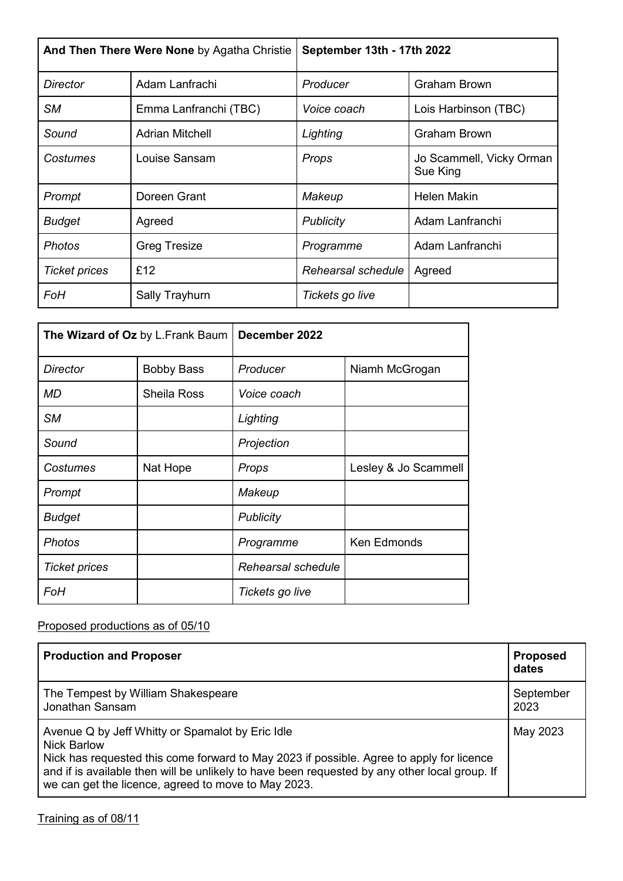| And Then There Were None by Agatha Christie |                        | September 13th - 17th 2022 |                                      |
|---------------------------------------------|------------------------|----------------------------|--------------------------------------|
| <b>Director</b>                             | Adam Lanfrachi         | Producer                   | <b>Graham Brown</b>                  |
| <b>SM</b>                                   | Emma Lanfranchi (TBC)  | Voice coach                | Lois Harbinson (TBC)                 |
| Sound                                       | <b>Adrian Mitchell</b> | Lighting                   | <b>Graham Brown</b>                  |
| Costumes                                    | Louise Sansam          | Props                      | Jo Scammell, Vicky Orman<br>Sue King |
| Prompt                                      | Doreen Grant           | Makeup                     | Helen Makin                          |
| <b>Budget</b>                               | Agreed                 | <b>Publicity</b>           | Adam Lanfranchi                      |
| <b>Photos</b>                               | <b>Greg Tresize</b>    | Programme                  | Adam Lanfranchi                      |
| <b>Ticket prices</b>                        | £12                    | Rehearsal schedule         | Agreed                               |
| FoH                                         | Sally Trayhurn         | Tickets go live            |                                      |

| The Wizard of Oz by L.Frank Baum |                    | December 2022      |                      |
|----------------------------------|--------------------|--------------------|----------------------|
| <b>Director</b>                  | <b>Bobby Bass</b>  | Producer           | Niamh McGrogan       |
| <b>MD</b>                        | <b>Sheila Ross</b> | Voice coach        |                      |
| <b>SM</b>                        |                    | Lighting           |                      |
| Sound                            |                    | Projection         |                      |
| Costumes                         | Nat Hope           | Props              | Lesley & Jo Scammell |
| Prompt                           |                    | Makeup             |                      |
| <b>Budget</b>                    |                    | <b>Publicity</b>   |                      |
| <b>Photos</b>                    |                    | Programme          | Ken Edmonds          |
| <b>Ticket prices</b>             |                    | Rehearsal schedule |                      |
| FoH                              |                    | Tickets go live    |                      |

# Proposed productions as of 05/10

| <b>Production and Proposer</b>                                                                                                                                                                                                                                                                                             | <b>Proposed</b><br>dates |
|----------------------------------------------------------------------------------------------------------------------------------------------------------------------------------------------------------------------------------------------------------------------------------------------------------------------------|--------------------------|
| The Tempest by William Shakespeare<br>Jonathan Sansam                                                                                                                                                                                                                                                                      | September<br>2023        |
| Avenue Q by Jeff Whitty or Spamalot by Eric Idle<br><b>Nick Barlow</b><br>Nick has requested this come forward to May 2023 if possible. Agree to apply for licence<br>and if is available then will be unlikely to have been requested by any other local group. If<br>we can get the licence, agreed to move to May 2023. | May 2023                 |